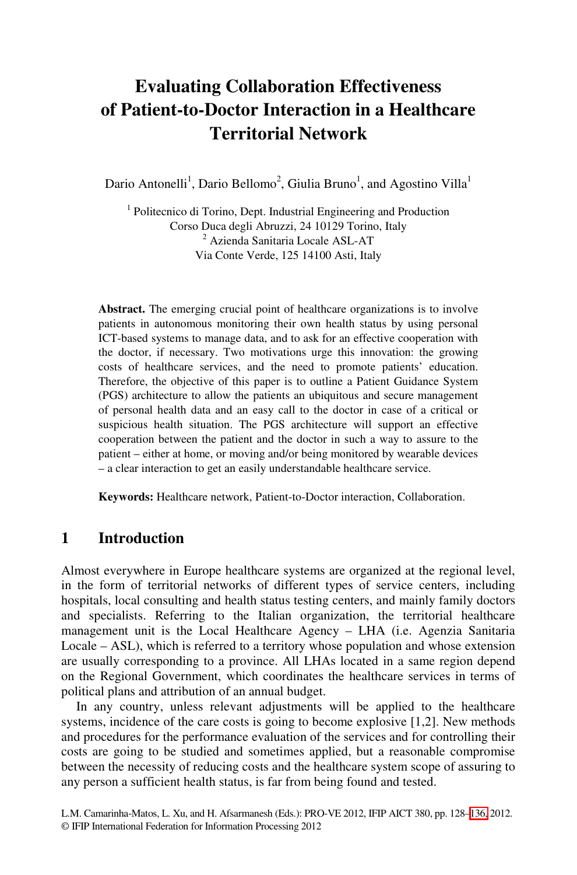# **Evaluating Collaboration Effectiveness of Patient-to-Doctor Interaction in a Healthcare Territorial Network**

Dario Antonelli<sup>1</sup>, Dario Bellomo<sup>2</sup>, Giulia Bruno<sup>1</sup>, and Agostino Villa<sup>1</sup>

<sup>1</sup> Politecnico di Torino, Dept. Industrial Engineering and Production Corso Duca degli Abruzzi, 24 10129 Torino, Italy 2 <sup>2</sup> Azienda Sanitaria Locale ASL-AT Via Conte Verde, 125 14100 Asti, Italy

**Abstract.** The emerging crucial point of healthcare organizations is to involve patients in autonomous monitoring their own health status by using personal ICT-based systems to manage data, and to ask for an effective cooperation with the doctor, if necessary. Two motivations urge this innovation: the growing costs of healthcare services, and the need to promote patients' education. Therefore, the objective of this paper is to outline a Patient Guidance System (PGS) architecture to allow the patients an ubiquitous and secure management of personal health data and an easy call to the doctor in case of a critical or suspicious health situation. The PGS architecture will support an effective cooperation between the patient and the doctor in such a way to assure to the patient – either at home, or moving and/or being monitored by wearable devices – a clear interaction to get an easily understandable healthcare service.

**Keywords:** Healthcare network, Patient-to-Doctor interaction, Collaboration.

## **1 Introduction**

Almost everywhere in Europe healthcare systems are organized at the regional level, in the form of territorial networks of different types of service centers, including hospitals, local consulting and health status testing centers, and mainly family doctors and specialists. Referring to the Italian organization, the territorial healthcare management unit is the Local Healthcare Agency – LHA (i.e. Agenzia Sanitaria Locale – ASL), which is referred to a territory whose population and whose extension are usually corresponding to a province. All LHAs located in a same region depend on the Regional Government, which coordinates the healthcare services in terms of political plans and attribution of an annual budget.

In any country, unless relevant adjustments will be applied to the healthcare systems, incidence of the care costs is going to become explosive [1,2]. New methods and procedures for the performance evaluation of the services and for controlling their costs are going to be studied and sometimes applied, but a reasonable compromise between the necessity of reducing costs and the healthcare system scope of assuring to any person a sufficient health status, is far from being found and tested.

L.M. Camarinha-Matos, L. Xu, and H. Afsarmanesh (Eds.): PRO-VE 2012, IFIP AICT 380, pp. 128–136, 2012. © IFIP International Federation for Information Processing 2012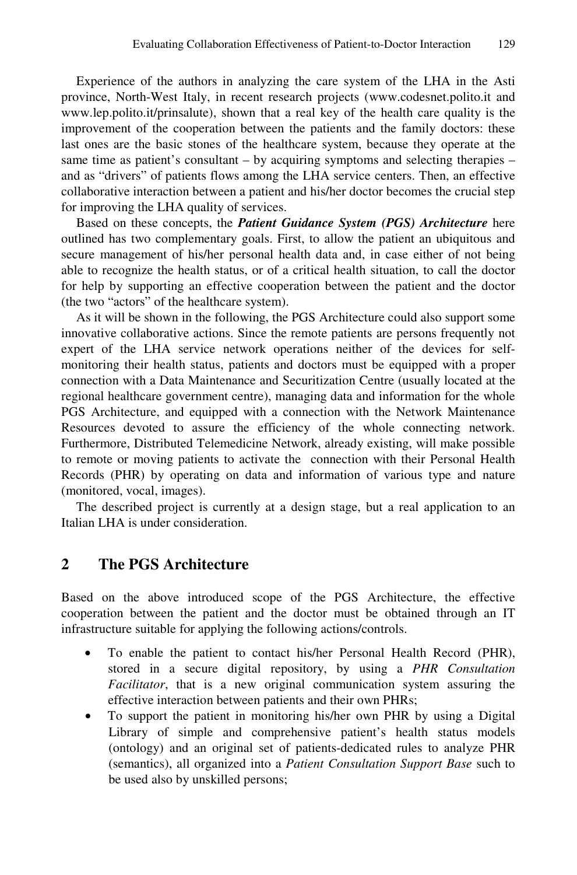Experience of the authors in analyzing the care system of the LHA in the Asti province, North-West Italy, in recent research projects (www.codesnet.polito.it and www.lep.polito.it/prinsalute), shown that a real key of the health care quality is the improvement of the cooperation between the patients and the family doctors: these last ones are the basic stones of the healthcare system, because they operate at the same time as patient's consultant – by acquiring symptoms and selecting therapies – and as "drivers" of patients flows among the LHA service centers. Then, an effective collaborative interaction between a patient and his/her doctor becomes the crucial step for improving the LHA quality of services.

Based on these concepts, the *Patient Guidance System (PGS) Architecture* here outlined has two complementary goals. First, to allow the patient an ubiquitous and secure management of his/her personal health data and, in case either of not being able to recognize the health status, or of a critical health situation, to call the doctor for help by supporting an effective cooperation between the patient and the doctor (the two "actors" of the healthcare system).

As it will be shown in the following, the PGS Architecture could also support some innovative collaborative actions. Since the remote patients are persons frequently not expert of the LHA service network operations neither of the devices for selfmonitoring their health status, patients and doctors must be equipped with a proper connection with a Data Maintenance and Securitization Centre (usually located at the regional healthcare government centre), managing data and information for the whole PGS Architecture, and equipped with a connection with the Network Maintenance Resources devoted to assure the efficiency of the whole connecting network. Furthermore, Distributed Telemedicine Network, already existing, will make possible to remote or moving patients to activate the connection with their Personal Health Records (PHR) by operating on data and information of various type and nature (monitored, vocal, images).

The described project is currently at a design stage, but a real application to an Italian LHA is under consideration.

# **2 The PGS Architecture**

Based on the above introduced scope of the PGS Architecture, the effective cooperation between the patient and the doctor must be obtained through an IT infrastructure suitable for applying the following actions/controls.

- To enable the patient to contact his/her Personal Health Record (PHR), stored in a secure digital repository, by using a *PHR Consultation Facilitator*, that is a new original communication system assuring the effective interaction between patients and their own PHRs;
- To support the patient in monitoring his/her own PHR by using a Digital Library of simple and comprehensive patient's health status models (ontology) and an original set of patients-dedicated rules to analyze PHR (semantics), all organized into a *Patient Consultation Support Base* such to be used also by unskilled persons;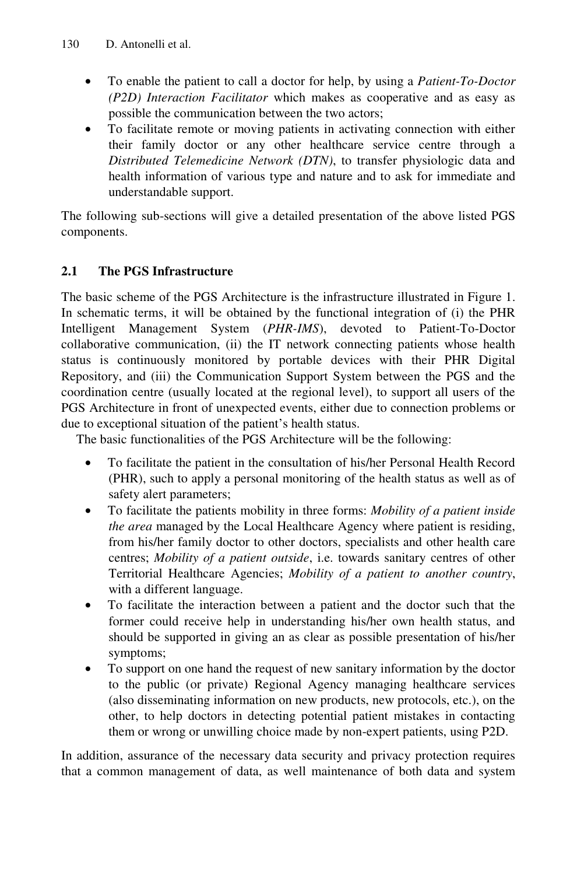- To enable the patient to call a doctor for help, by using a *Patient-To-Doctor (P2D) Interaction Facilitator* which makes as cooperative and as easy as possible the communication between the two actors;
- To facilitate remote or moving patients in activating connection with either their family doctor or any other healthcare service centre through a *Distributed Telemedicine Network (DTN)*, to transfer physiologic data and health information of various type and nature and to ask for immediate and understandable support.

The following sub-sections will give a detailed presentation of the above listed PGS components.

# **2.1 The PGS Infrastructure**

The basic scheme of the PGS Architecture is the infrastructure illustrated in Figure 1. In schematic terms, it will be obtained by the functional integration of (i) the PHR Intelligent Management System (*PHR-IMS*), devoted to Patient-To-Doctor collaborative communication, (ii) the IT network connecting patients whose health status is continuously monitored by portable devices with their PHR Digital Repository, and (iii) the Communication Support System between the PGS and the coordination centre (usually located at the regional level), to support all users of the PGS Architecture in front of unexpected events, either due to connection problems or due to exceptional situation of the patient's health status.

The basic functionalities of the PGS Architecture will be the following:

- To facilitate the patient in the consultation of his/her Personal Health Record (PHR), such to apply a personal monitoring of the health status as well as of safety alert parameters;
- To facilitate the patients mobility in three forms: *Mobility of a patient inside the area* managed by the Local Healthcare Agency where patient is residing, from his/her family doctor to other doctors, specialists and other health care centres; *Mobility of a patient outside*, i.e. towards sanitary centres of other Territorial Healthcare Agencies; *Mobility of a patient to another country*, with a different language.
- To facilitate the interaction between a patient and the doctor such that the former could receive help in understanding his/her own health status, and should be supported in giving an as clear as possible presentation of his/her symptoms;
- To support on one hand the request of new sanitary information by the doctor to the public (or private) Regional Agency managing healthcare services (also disseminating information on new products, new protocols, etc.), on the other, to help doctors in detecting potential patient mistakes in contacting them or wrong or unwilling choice made by non-expert patients, using P2D.

In addition, assurance of the necessary data security and privacy protection requires that a common management of data, as well maintenance of both data and system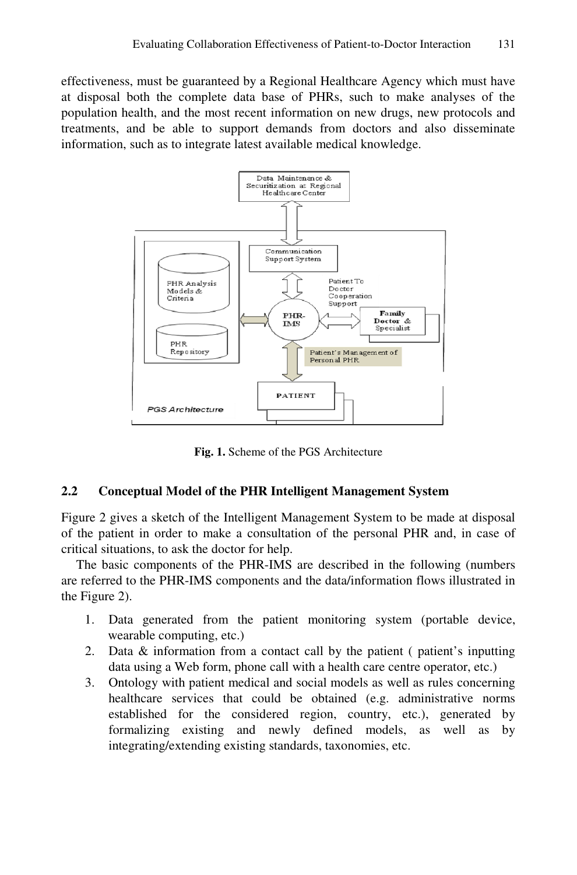effectiveness, must be guaranteed by a Regional Healthcare Agency which must have at disposal both the complete data base of PHRs, such to make analyses of the population health, and the most recent information on new drugs, new protocols and treatments, and be able to support demands from doctors and also disseminate information, such as to integrate latest available medical knowledge.



**Fig. 1.** Scheme of the PGS Architecture

#### **2.2 Conceptual Model of the PHR Intelligent Management System**

Figure 2 gives a sketch of the Intelligent Management System to be made at disposal of the patient in order to make a consultation of the personal PHR and, in case of critical situations, to ask the doctor for help.

The basic components of the PHR-IMS are described in the following (numbers are referred to the PHR-IMS components and the data/information flows illustrated in the Figure 2).

- 1. Data generated from the patient monitoring system (portable device, wearable computing, etc.)
- 2. Data & information from a contact call by the patient ( patient's inputting data using a Web form, phone call with a health care centre operator, etc.)
- 3. Ontology with patient medical and social models as well as rules concerning healthcare services that could be obtained (e.g. administrative norms established for the considered region, country, etc.), generated by formalizing existing and newly defined models, as well as by integrating/extending existing standards, taxonomies, etc.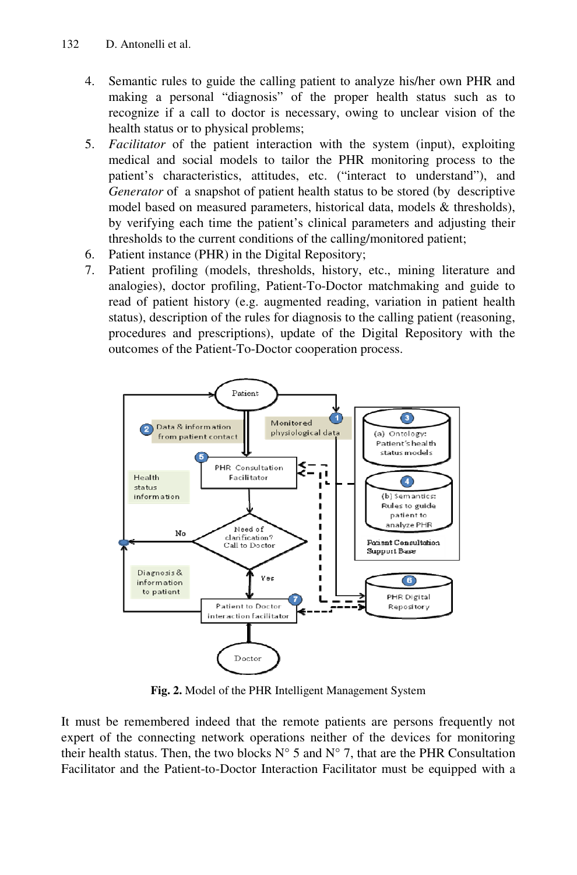- 4. Semantic rules to guide the calling patient to analyze his/her own PHR and making a personal "diagnosis" of the proper health status such as to recognize if a call to doctor is necessary, owing to unclear vision of the health status or to physical problems;
- 5. *Facilitator* of the patient interaction with the system (input), exploiting medical and social models to tailor the PHR monitoring process to the patient's characteristics, attitudes, etc. ("interact to understand"), and *Generator* of a snapshot of patient health status to be stored (by descriptive model based on measured parameters, historical data, models & thresholds), by verifying each time the patient's clinical parameters and adjusting their thresholds to the current conditions of the calling/monitored patient;
- 6. Patient instance (PHR) in the Digital Repository;
- 7. Patient profiling (models, thresholds, history, etc., mining literature and analogies), doctor profiling, Patient-To-Doctor matchmaking and guide to read of patient history (e.g. augmented reading, variation in patient health status), description of the rules for diagnosis to the calling patient (reasoning, procedures and prescriptions), update of the Digital Repository with the outcomes of the Patient-To-Doctor cooperation process.



**Fig. 2.** Model of the PHR Intelligent Management System

It must be remembered indeed that the remote patients are persons frequently not expert of the connecting network operations neither of the devices for monitoring their health status. Then, the two blocks  $N^{\circ}$  5 and  $N^{\circ}$  7, that are the PHR Consultation Facilitator and the Patient-to-Doctor Interaction Facilitator must be equipped with a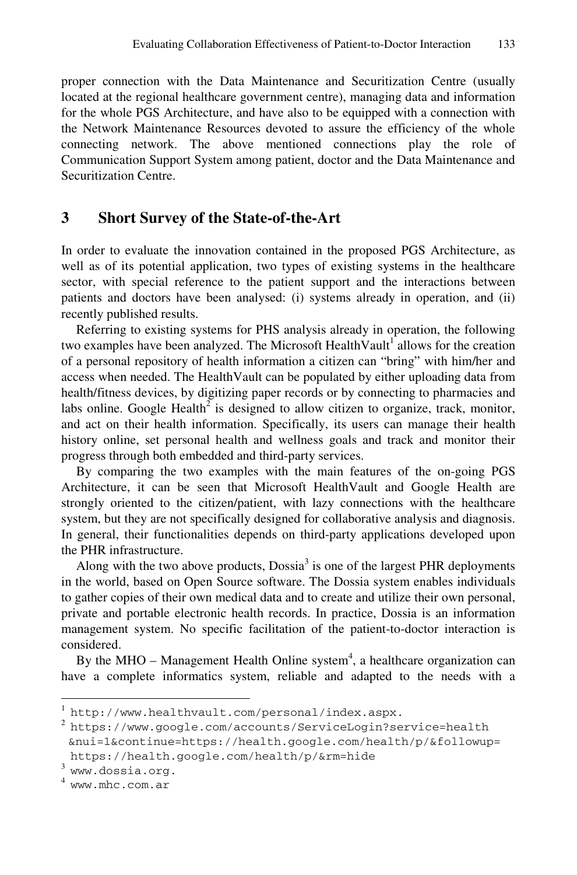proper connection with the Data Maintenance and Securitization Centre (usually located at the regional healthcare government centre), managing data and information for the whole PGS Architecture, and have also to be equipped with a connection with the Network Maintenance Resources devoted to assure the efficiency of the whole connecting network. The above mentioned connections play the role of Communication Support System among patient, doctor and the Data Maintenance and Securitization Centre.

## **3 Short Survey of the State-of-the-Art**

In order to evaluate the innovation contained in the proposed PGS Architecture, as well as of its potential application, two types of existing systems in the healthcare sector, with special reference to the patient support and the interactions between patients and doctors have been analysed: (i) systems already in operation, and (ii) recently published results.

Referring to existing systems for PHS analysis already in operation, the following two examples have been analyzed. The Microsoft HealthVault<sup>1</sup> allows for the creation of a personal repository of health information a citizen can "bring" with him/her and access when needed. The HealthVault can be populated by either uploading data from health/fitness devices, by digitizing paper records or by connecting to pharmacies and labs online. Google Health<sup>2</sup> is designed to allow citizen to organize, track, monitor, and act on their health information. Specifically, its users can manage their health history online, set personal health and wellness goals and track and monitor their progress through both embedded and third-party services.

By comparing the two examples with the main features of the on-going PGS Architecture, it can be seen that Microsoft HealthVault and Google Health are strongly oriented to the citizen/patient, with lazy connections with the healthcare system, but they are not specifically designed for collaborative analysis and diagnosis. In general, their functionalities depends on third-party applications developed upon the PHR infrastructure.

Along with the two above products,  $Dossia<sup>3</sup>$  is one of the largest PHR deployments in the world, based on Open Source software. The Dossia system enables individuals to gather copies of their own medical data and to create and utilize their own personal, private and portable electronic health records. In practice, Dossia is an information management system. No specific facilitation of the patient-to-doctor interaction is considered.

By the MHO – Management Health Online system<sup>4</sup>, a healthcare organization can have a complete informatics system, reliable and adapted to the needs with a

 1 http://www.healthvault.com/personal/index.aspx.

 $2$  https://www.google.com/accounts/ServiceLogin?service=health &nui=1&continue=https://health.google.com/health/p/&followup= https://health.google.com/health/p/&rm=hide

 $3$  www.dossia.org.

<sup>4</sup> www.mhc.com.ar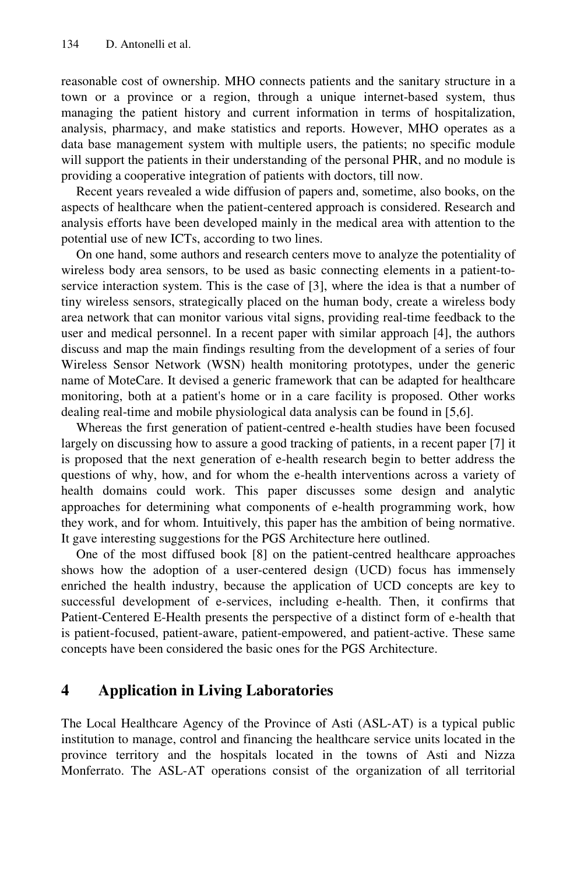reasonable cost of ownership. MHO connects patients and the sanitary structure in a town or a province or a region, through a unique internet-based system, thus managing the patient history and current information in terms of hospitalization, analysis, pharmacy, and make statistics and reports. However, MHO operates as a data base management system with multiple users, the patients; no specific module will support the patients in their understanding of the personal PHR, and no module is providing a cooperative integration of patients with doctors, till now.

Recent years revealed a wide diffusion of papers and, sometime, also books, on the aspects of healthcare when the patient-centered approach is considered. Research and analysis efforts have been developed mainly in the medical area with attention to the potential use of new ICTs, according to two lines.

On one hand, some authors and research centers move to analyze the potentiality of wireless body area sensors, to be used as basic connecting elements in a patient-toservice interaction system. This is the case of [3], where the idea is that a number of tiny wireless sensors, strategically placed on the human body, create a wireless body area network that can monitor various vital signs, providing real-time feedback to the user and medical personnel. In a recent paper with similar approach [4], the authors discuss and map the main findings resulting from the development of a series of four Wireless Sensor Network (WSN) health monitoring prototypes, under the generic name of MoteCare. It devised a generic framework that can be adapted for healthcare monitoring, both at a patient's home or in a care facility is proposed. Other works dealing real-time and mobile physiological data analysis can be found in [5,6].

Whereas the fırst generation of patient-centred e-health studies have been focused largely on discussing how to assure a good tracking of patients, in a recent paper [7] it is proposed that the next generation of e-health research begin to better address the questions of why, how, and for whom the e-health interventions across a variety of health domains could work. This paper discusses some design and analytic approaches for determining what components of e-health programming work, how they work, and for whom. Intuitively, this paper has the ambition of being normative. It gave interesting suggestions for the PGS Architecture here outlined.

One of the most diffused book [8] on the patient-centred healthcare approaches shows how the adoption of a user-centered design (UCD) focus has immensely enriched the health industry, because the application of UCD concepts are key to successful development of e-services, including e-health. Then, it confirms that Patient-Centered E-Health presents the perspective of a distinct form of e-health that is patient-focused, patient-aware, patient-empowered, and patient-active. These same concepts have been considered the basic ones for the PGS Architecture.

# **4 Application in Living Laboratories**

The Local Healthcare Agency of the Province of Asti (ASL-AT) is a typical public institution to manage, control and financing the healthcare service units located in the province territory and the hospitals located in the towns of Asti and Nizza Monferrato. The ASL-AT operations consist of the organization of all territorial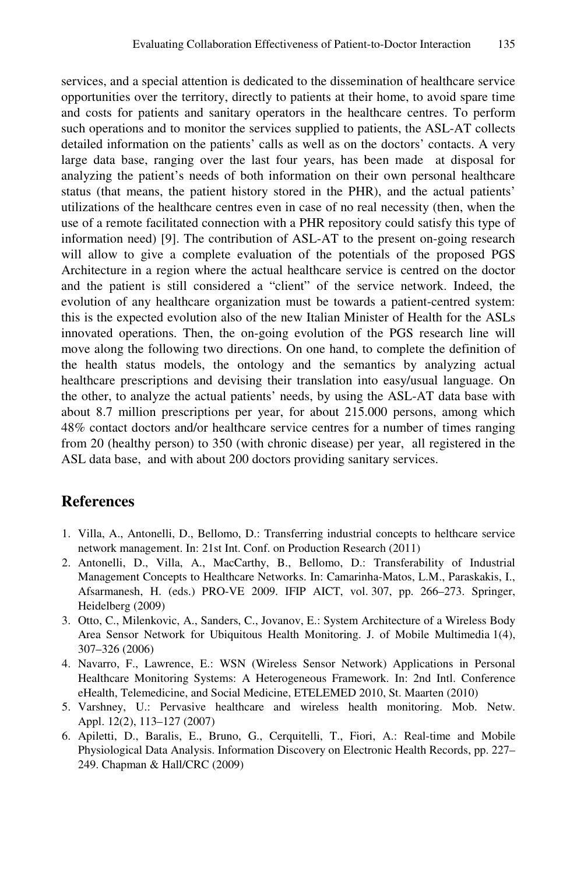services, and a special attention is dedicated to the dissemination of healthcare service opportunities over the territory, directly to patients at their home, to avoid spare time and costs for patients and sanitary operators in the healthcare centres. To perform such operations and to monitor the services supplied to patients, the ASL-AT collects detailed information on the patients' calls as well as on the doctors' contacts. A very large data base, ranging over the last four years, has been made at disposal for analyzing the patient's needs of both information on their own personal healthcare status (that means, the patient history stored in the PHR), and the actual patients' utilizations of the healthcare centres even in case of no real necessity (then, when the use of a remote facilitated connection with a PHR repository could satisfy this type of information need) [9]. The contribution of ASL-AT to the present on-going research will allow to give a complete evaluation of the potentials of the proposed PGS Architecture in a region where the actual healthcare service is centred on the doctor and the patient is still considered a "client" of the service network. Indeed, the evolution of any healthcare organization must be towards a patient-centred system: this is the expected evolution also of the new Italian Minister of Health for the ASLs innovated operations. Then, the on-going evolution of the PGS research line will move along the following two directions. On one hand, to complete the definition of the health status models, the ontology and the semantics by analyzing actual healthcare prescriptions and devising their translation into easy/usual language. On the other, to analyze the actual patients' needs, by using the ASL-AT data base with about 8.7 million prescriptions per year, for about 215.000 persons, among which 48% contact doctors and/or healthcare service centres for a number of times ranging from 20 (healthy person) to 350 (with chronic disease) per year, all registered in the ASL data base, and with about 200 doctors providing sanitary services.

# **References**

- 1. Villa, A., Antonelli, D., Bellomo, D.: Transferring industrial concepts to helthcare service network management. In: 21st Int. Conf. on Production Research (2011)
- 2. Antonelli, D., Villa, A., MacCarthy, B., Bellomo, D.: Transferability of Industrial Management Concepts to Healthcare Networks. In: Camarinha-Matos, L.M., Paraskakis, I., Afsarmanesh, H. (eds.) PRO-VE 2009. IFIP AICT, vol. 307, pp. 266–273. Springer, Heidelberg (2009)
- 3. Otto, C., Milenkovic, A., Sanders, C., Jovanov, E.: System Architecture of a Wireless Body Area Sensor Network for Ubiquitous Health Monitoring. J. of Mobile Multimedia 1(4), 307–326 (2006)
- 4. Navarro, F., Lawrence, E.: WSN (Wireless Sensor Network) Applications in Personal Healthcare Monitoring Systems: A Heterogeneous Framework. In: 2nd Intl. Conference eHealth, Telemedicine, and Social Medicine, ETELEMED 2010, St. Maarten (2010)
- 5. Varshney, U.: Pervasive healthcare and wireless health monitoring. Mob. Netw. Appl. 12(2), 113–127 (2007)
- 6. Apiletti, D., Baralis, E., Bruno, G., Cerquitelli, T., Fiori, A.: Real-time and Mobile Physiological Data Analysis. Information Discovery on Electronic Health Records, pp. 227– 249. Chapman & Hall/CRC (2009)